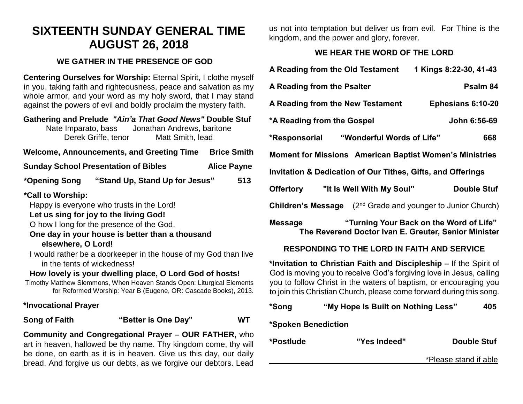# **SIXTEENTH SUNDAY GENERAL TIME AUGUST 26, 2018**

#### **WE GATHER IN THE PRESENCE OF GOD**

**Centering Ourselves for Worship:** Eternal Spirit, I clothe myself in you, taking faith and righteousness, peace and salvation as my whole armor, and your word as my holy sword, that I may stand against the powers of evil and boldly proclaim the mystery faith.

#### **Gathering and Prelude** *"Ain'a That Good News"* **Double Stuf** Nate Imparato, bass Jonathan Andrews, baritone Derek Griffe, tenor Matt Smith, lead

#### Welcome, Announcements, and Greeting Time Brice Smith

| <b>Sunday School Presentation of Bibles</b> | <b>Alice Payne</b> |
|---------------------------------------------|--------------------|
|---------------------------------------------|--------------------|

## **\*Opening Song "Stand Up, Stand Up for Jesus" 513**

## **\*Call to Worship:**

Happy is everyone who trusts in the Lord!

#### **Let us sing for joy to the living God!**

O how I long for the presence of the God.

#### **One day in your house is better than a thousand elsewhere, O Lord!**

I would rather be a doorkeeper in the house of my God than live in the tents of wickedness!

## **How lovely is your dwelling place, O Lord God of hosts!**

Timothy Matthew Slemmons, When Heaven Stands Open: Liturgical Elements for Reformed Worship: Year B (Eugene, OR: Cascade Books), 2013.

## **\*Invocational Prayer**

# **Song of Faith "Better is One Day" WT**

**Community and Congregational Prayer – OUR FATHER,** who art in heaven, hallowed be thy name. Thy kingdom come, thy will be done, on earth as it is in heaven. Give us this day, our daily bread. And forgive us our debts, as we forgive our debtors. Lead us not into temptation but deliver us from evil. For Thine is the kingdom, and the power and glory, forever.

# **WE HEAR THE WORD OF THE LORD**

| A Reading from the Old Testament                                                                                  | 1 Kings 8:22-30, 41-43 |  |
|-------------------------------------------------------------------------------------------------------------------|------------------------|--|
| A Reading from the Psalter                                                                                        | Psalm 84               |  |
| A Reading from the New Testament                                                                                  | Ephesians 6:10-20      |  |
| *A Reading from the Gospel                                                                                        | John 6:56-69           |  |
| *Responsorial "Wonderful Words of Life"                                                                           | 668                    |  |
| <b>Moment for Missions American Baptist Women's Ministries</b>                                                    |                        |  |
| <b>Invitation &amp; Dedication of Our Tithes, Gifts, and Offerings</b>                                            |                        |  |
| Offertory "It Is Well With My Soul"                                                                               | Double Stuf            |  |
| (2 <sup>nd</sup> Grade and younger to Junior Church)<br>Children's Message                                        |                        |  |
| "Turning Your Back on the Word of Life"<br><b>Message</b><br>The Reverend Doctor Ivan E. Greuter, Senior Minister |                        |  |

# **RESPONDING TO THE LORD IN FAITH AND SERVICE**

**\*Invitation to Christian Faith and Discipleship –** If the Spirit of God is moving you to receive God's forgiving love in Jesus, calling you to follow Christ in the waters of baptism, or encouraging you to join this Christian Church, please come forward during this song.

# **\*Song "My Hope Is Built on Nothing Less" 405**

# **\*Spoken Benediction**

| *Postlude | "Yes Indeed" | <b>Double Stuf</b>    |
|-----------|--------------|-----------------------|
|           |              | *Please stand if able |